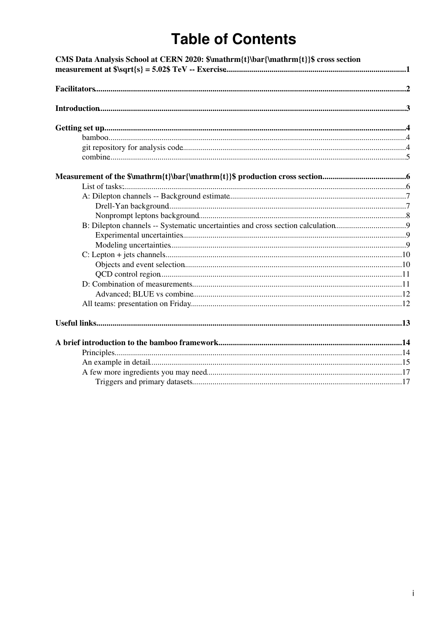# **Table of Contents**

| B: Dilepton channels -- Systematic uncertainties and cross section calculation9 | CMS Data Analysis School at CERN 2020: \$\mathrm{t}\bar{\mathrm{t}}\$ cross section |  |
|---------------------------------------------------------------------------------|-------------------------------------------------------------------------------------|--|
|                                                                                 |                                                                                     |  |
|                                                                                 |                                                                                     |  |
|                                                                                 |                                                                                     |  |
|                                                                                 |                                                                                     |  |
|                                                                                 |                                                                                     |  |
|                                                                                 |                                                                                     |  |
|                                                                                 |                                                                                     |  |
|                                                                                 |                                                                                     |  |
|                                                                                 |                                                                                     |  |
|                                                                                 |                                                                                     |  |
|                                                                                 |                                                                                     |  |
|                                                                                 |                                                                                     |  |
|                                                                                 |                                                                                     |  |
|                                                                                 |                                                                                     |  |
|                                                                                 |                                                                                     |  |
|                                                                                 |                                                                                     |  |
|                                                                                 |                                                                                     |  |
|                                                                                 |                                                                                     |  |
|                                                                                 |                                                                                     |  |
|                                                                                 |                                                                                     |  |
|                                                                                 |                                                                                     |  |
|                                                                                 |                                                                                     |  |
|                                                                                 |                                                                                     |  |
|                                                                                 |                                                                                     |  |
|                                                                                 |                                                                                     |  |
|                                                                                 |                                                                                     |  |
|                                                                                 |                                                                                     |  |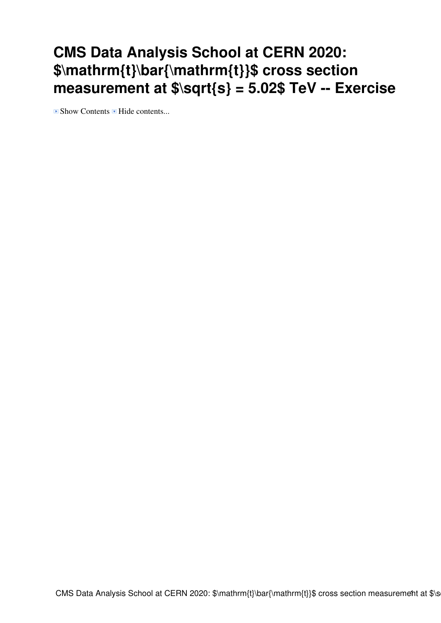# <span id="page-1-0"></span>**CMS Data Analysis School at CERN 2020: \$\mathrm{t}\bar{\mathrm{t}}\$ cross section measurement at \$\sqrt{s} = 5.02\$ [TeV](https://twiki.cern.ch/twiki/bin/view/Main/TeV) -- Exercise**

 $\blacksquare$  Show Contents  $\blacksquare$  Hide contents...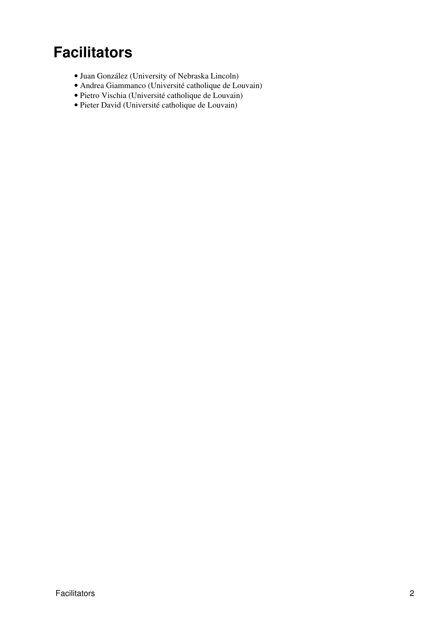# <span id="page-2-0"></span>**Facilitators**

- [Juan González](mailto:jrgonzal@cernNOSPAMPLEASE.ch) (University of Nebraska Lincoln)
- [Andrea Giammanco](mailto:Andrea.Giammanco@cernNOSPAMPLEASE.ch) (Université catholique de Louvain)
- [Pietro Vischia](mailto:Pietro.Vischia@cernNOSPAMPLEASE.ch) (Université catholique de Louvain)
- [Pieter David](mailto:Pieter.David@cernNOSPAMPLEASE.ch) (Université catholique de Louvain)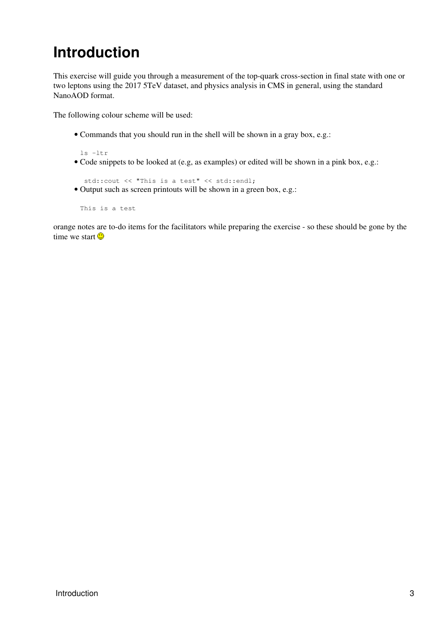# <span id="page-3-0"></span>**Introduction**

This exercise will guide you through a measurement of the top-quark cross-section in final state with one or two leptons using the 2017 5TeV dataset, and physics analysis in CMS in general, using the standard [NanoAOD](https://twiki.cern.ch/twiki/bin/edit/Main/NanoAOD?topicparent=Main.Draft_tt5TeV_CMSDASCERN2020_piedavid;nowysiwyg=1) format.

The following colour scheme will be used:

• Commands that you should run in the shell will be shown in a gray box, e.g.:

ls -ltr

Code snippets to be looked at (e.g, as examples) or edited will be shown in a pink box, e.g.: •

std::cout << "This is a test" << std::endl;

Output such as screen printouts will be shown in a green box, e.g.: •

This is a test

orange notes are to-do items for the facilitators while preparing the exercise - so these should be gone by the time we start  $\odot$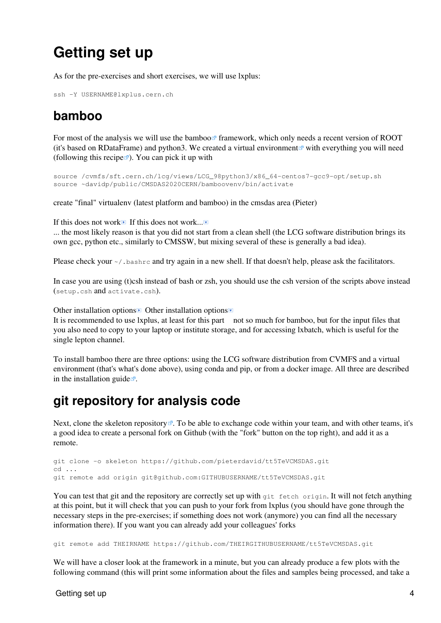# <span id="page-4-0"></span>**Getting set up**

As for the pre-exercises and short exercises, we will use lxplus:

```
ssh -Y USERNAME@lxplus.cern.ch
```
## <span id="page-4-1"></span>**bamboo**

For most of the analysis we will use the [bamboo](https://gitlab.cern.ch/cp3-cms/bamboo)  $\Phi$  framework, which only needs a recent version of [ROOT](https://twiki.cern.ch/twiki/bin/view/Main/ROOT) (it's based on RDataFrame) and python3. We created a [virtual environment](https://docs.python.org/3/library/venv.html)  $\mathbb{F}$  with everything you will need (following [this recipe](https://cp3.irmp.ucl.ac.be/~pdavid/bamboo/install.html) $\mathbb{F}$ ). You can pick it up with

```
source /cvmfs/sft.cern.ch/lcg/views/LCG_98python3/x86_64-centos7-gcc9-opt/setup.sh
source ~davidp/public/CMSDAS2020CERN/bamboovenv/bin/activate
```
create "final" virtualenv (latest platform and bamboo) in the cmsdas area (Pieter)

If this does not work If this does not work...

... the most likely reason is that you did not start from a clean shell (the LCG software distribution brings its own gcc, python etc., similarly to CMSSW, but mixing several of these is generally a bad idea).

Please check your  $\sim$ /.bashrc and try again in a new shell. If that doesn't help, please ask the facilitators.

In case you are using (t)csh instead of bash or zsh, you should use the csh version of the scripts above instead (setup.csh and activate.csh).

Other installation options  $\blacksquare$  Other installation options  $\blacksquare$ 

It is recommended to use lxplus, at least for this part not so much for bamboo, but for the input files that you also need to copy to your laptop or institute storage, and for accessing lxbatch, which is useful for the single lepton channel.

To install bamboo there are three options: using the LCG software distribution from CVMFS and a virtual environment (that's what's done above), using conda and pip, or from a docker image. All three are described in the [installation guide](https://cp3.irmp.ucl.ac.be/~pdavid/bamboo/install.html) $\mathbb{Z}$ .

### <span id="page-4-2"></span>**git repository for analysis code**

Next, clone the [skeleton repository](https://github.com/pieterdavid/tt5TeVCMSDAS.git)  $\mathbb{F}$ . To be able to exchange code within your team, and with other teams, it's a good idea to create a personal fork on Github (with the "fork" button on the top right), and add it as a remote.

```
git clone -o skeleton https://github.com/pieterdavid/tt5TeVCMSDAS.git
cd ...
git remote add origin git@github.com:GITHUBUSERNAME/tt5TeVCMSDAS.git
```
You can test that git and the repository are correctly set up with git fetch origin. It will not fetch anything at this point, but it will check that you can push to your fork from lxplus (you should have gone through the necessary steps in the [pre-exercises;](https://twiki.cern.ch/twiki/bin/viewauth/CMS/SWGuideCMSDASAtCERNPreExerciseFirstSet#Obtain_a_github_account) if something does not work (anymore) you can find all the necessary information there). If you want you can already add your colleagues' forks

git remote add THEIRNAME https://github.com/THEIRGITHUBUSERNAME/tt5TeVCMSDAS.git

We will have a closer look at the framework in a minute, but you can already produce a few plots with the following command (this will print some information about the files and samples being processed, and take a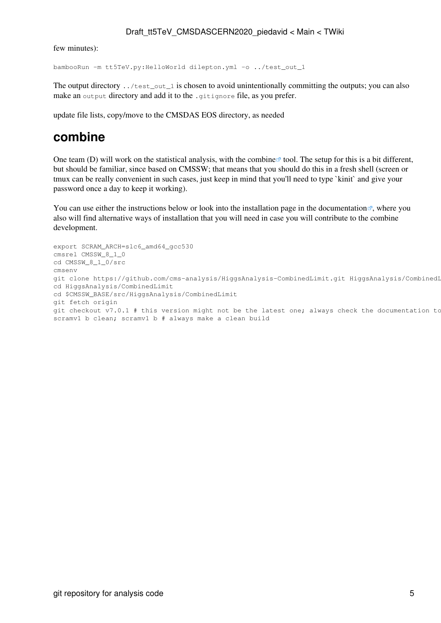few minutes):

```
bambooRun -m tt5TeV.py:HelloWorld dilepton.yml -o ../test_out_1
```
The output directory . . /test\_out\_1 is chosen to avoid unintentionally committing the outputs; you can also make an output directory and add it to the .gitignore file, as you prefer.

update file lists, copy/move to the CMSDAS EOS directory, as needed

### <span id="page-5-0"></span>**combine**

One team (D) will work on the statistical analysis, with the [combine](http://cms-analysis.github.io/HiggsAnalysis-CombinedLimit/)  $\mathbb{Z}$  tool. The setup for this is a bit different, but should be familiar, since based on CMSSW; that means that you should do this in a fresh shell (screen or tmux can be really convenient in such cases, just keep in mind that you'll need to type `kinit` and give your password once a day to keep it working).

You can use either the instructions below or look into [the installation page in the documentation](https://github.com/cms-analysis/HiggsAnalysis-CombinedLimit/wiki/gettingstarted#for-end-users-that-dont-need-to-commit-or-do-any-development)  $\mathbb{F}_2$ , where you also will find alternative ways of installation that you will need in case you will contribute to the combine development.

```
export SCRAM_ARCH=slc6_amd64_gcc530
cmsrel CMSSW_8_1_0
cd CMSSW_8_1_0/src 
cmsenv
git clone https://github.com/cms-analysis/HiggsAnalysis-CombinedLimit.git HiggsAnalysis/CombinedLimit
cd HiggsAnalysis/CombinedLimit
cd $CMSSW_BASE/src/HiggsAnalysis/CombinedLimit
git fetch origin
git checkout v7.0.1 # this version might not be the latest one; always check the documentation to
scramv1 b clean; scramv1 b # always make a clean build
```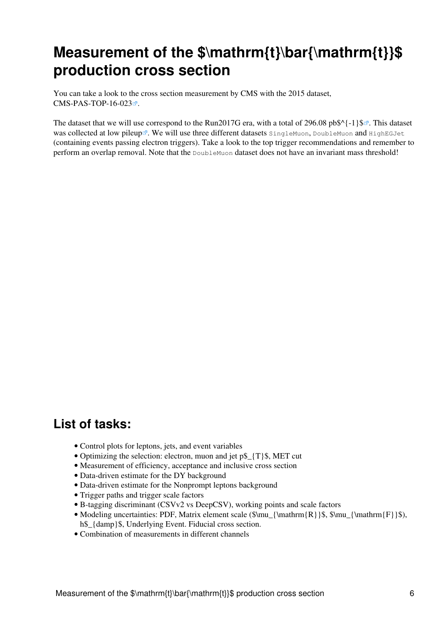# <span id="page-6-0"></span>Measurement of the \$\mathrm{t}\bar{\mathrm{t}}\$ **production cross section**

You can take a look to the cross section measurement by CMS with the 2015 dataset,  $CMS-PAS-TOP-16-023$ 

The dataset that we will use correspond to the [Run2017G](https://twiki.cern.ch/twiki/bin/edit/Main/Run2017G?topicparent=Main.Draft_tt5TeV_CMSDASCERN2020_piedavid;nowysiwyg=1) era, with a total of [296.08 pb\\$^{-1}\\$](https://hypernews.cern.ch/HyperNews/CMS/get/luminosity/794.html) $\mathcal{F}$ . This dataset was collected at [low pileup](https://hypernews.cern.ch/HyperNews/CMS/get/luminosity/809/1/2/1/1/1/1/1/1/1.html) . We will use three different datasets SingleMuon, DoubleMuon and HighEGJet (containing events passing electron triggers). Take a look to the [top trigger recommendations](https://twiki.cern.ch/twiki/bin/view/CMS/TopTriggerYear2017) and remember to perform an overlap removal. Note that the DoubleMuon dataset does not have an invariant mass threshold!

### <span id="page-6-1"></span>**List of tasks:**

- Control plots for leptons, jets, and event variables
- Optimizing the selection: electron, muon and jet p\$\_{T}\$, MET cut
- Measurement of efficiency, acceptance and inclusive cross section
- Data-driven estimate for the DY background
- Data-driven estimate for the Nonprompt leptons background
- Trigger paths and trigger scale factors
- B-tagging discriminant (CSVv2 vs [DeepCSV](https://twiki.cern.ch/twiki/bin/edit/Main/DeepCSV?topicparent=Main.Draft_tt5TeV_CMSDASCERN2020_piedavid;nowysiwyg=1)), working points and scale factors
- Modeling uncertainties: PDF, Matrix element scale (\$\mu\_{\mathrm{R}}\$, \$\mu\_{\mathrm{F}}\$), h\$  $\{\text{damp}\}\$ \$, Underlying Event. Fiducial cross section.
- Combination of measurements in different channels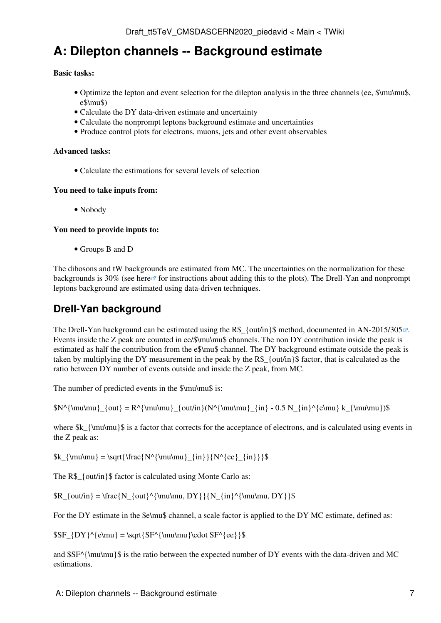## <span id="page-7-0"></span>**A: Dilepton channels -- Background estimate**

#### **Basic tasks:**

- Optimize the lepton and event selection for the dilepton analysis in the three channels (ee, \$\mu\mu\$, e\$\mu\$)
- Calculate the DY data-driven estimate and uncertainty
- Calculate the nonprompt leptons background estimate and uncertainties
- Produce control plots for electrons, muons, jets and other event observables

#### **Advanced tasks:**

• Calculate the estimations for several levels of selection

#### **You need to take inputs from:**

• Nobody

#### **You need to provide inputs to:**

• Groups B and D

The dibosons and tW backgrounds are estimated from MC. The uncertainties on the normalization for these backgrounds is 30% (see [here](http://cp3-llbb.github.io/plotit/#systematics-configuration-systematics) *for instructions about adding this to the plots*). The Drell-Yan and nonprompt leptons background are estimated using data-driven techniques.

### <span id="page-7-1"></span>**Drell-Yan background**

The Drell-Yan background can be estimated using the R\$  $\{$  out/in  $\}$ \$ method, documented in [AN-2015/305](http://cms.cern.ch/iCMS/jsp/db_notes/noteInfo.jsp?cmsnoteid=CMS%20AN-2015/305) $\degree$ . Events inside the Z peak are counted in ee/\$\mu\mu\$ channels. The non DY contribution inside the peak is estimated as half the contribution from the e\$\mu\$ channel. The DY background estimate outside the peak is taken by multiplying the DY measurement in the peak by the  $R\$  {out/in}\$ factor, that is calculated as the ratio between DY number of events outside and inside the Z peak, from MC.

The number of predicted events in the  $\mu\$ is:

 $N^{\mu}\_{out} = R^{\mu\mu}_{out/in}(N^{\mu\mu}_{in} - 0.5 N_{in}^{e\mu} k_{\mu\mu})\$ 

where  $k_{\mu\infty}$  is a factor that corrects for the acceptance of electrons, and is calculated using events in the Z peak as:

 $\k_{\mu\mu} = \sqrt{\frac{N^{\mu\nu}}_{in}}{N^{\ee}_{in}}$ 

The R\$  $\{out/in\}$ \$ factor is calculated using Monte Carlo as:

 $R_{out/in} = \frac{N_{out}^{\mu, DY}}{N_{in}^{\mu\mu, DY}}$ 

For the DY estimate in the  $\text{Schund}$  channel, a scale factor is applied to the DY MC estimate, defined as:

 $SF_{DY}^{\text{}} = \sqrt{SF^{\mu}\cdot SF^{\ee}}$ 

and  $S$ SF $\{\mu\$ unu\mu}§ is the ratio between the expected number of DY events with the data-driven and MC estimations.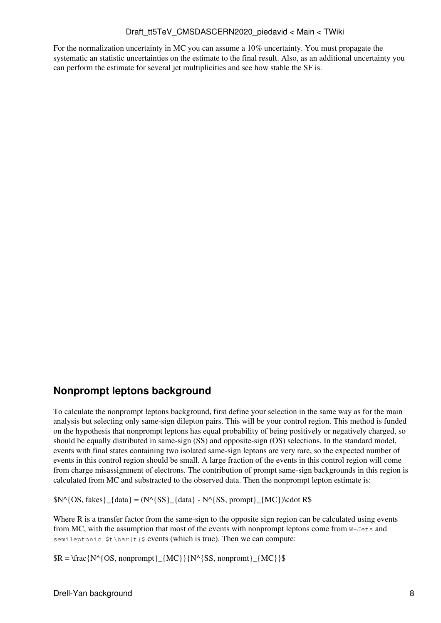For the normalization uncertainty in MC you can assume a 10% uncertainty. You must propagate the systematic an statistic uncertainties on the estimate to the final result. Also, as an additional uncertainty you can perform the estimate for several jet multiplicities and see how stable the SF is.

### <span id="page-8-0"></span>**Nonprompt leptons background**

To calculate the nonprompt leptons background, first define your selection in the same way as for the main analysis but selecting only same-sign dilepton pairs. This will be your control region. This method is funded on the hypothesis that nonprompt leptons has equal probability of being positively or negatively charged, so should be equally distributed in same-sign (SS) and opposite-sign (OS) selections. In the standard model, events with final states containing two isolated same-sign leptons are very rare, so the expected number of events in this control region should be small. A large fraction of the events in this control region will come from charge misassignment of electrons. The contribution of prompt same-sign backgrounds in this region is calculated from MC and substracted to the observed data. Then the nonprompt lepton estimate is:

 $N^{\wedge}$ {OS, fakes}\_{data} = (N^{SS}\_{data} - N^{SS, prompt}\_{MC})\cdot R\$

Where R is a transfer factor from the same-sign to the opposite sign region can be calculated using events from MC, with the assumption that most of the events with nonprompt leptons come from  $W+J\infty$  and semileptonic  $t\$ \bar{t} sevents (which is true). Then we can compute:

 $R = \frac{N^{(S, nonprompt)}{MC}}{N^{(S, nonprompt)}}$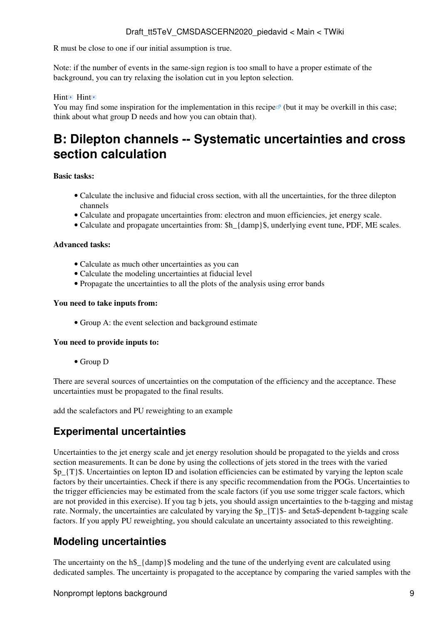R must be close to one if our initial assumption is true.

Note: if the number of events in the same-sign region is too small to have a proper estimate of the background, you can try relaxing the isolation cut in you lepton selection.

#### Hint<sup>D</sup> Hint

You may find some inspiration for the implementation in [this recipe](https://cp3.irmp.ucl.ac.be/~pdavid/bamboo/recipes.html#data-driven-backgrounds)<sup>®</sup> (but it may be overkill in this case; think about what group D needs and how you can obtain that).

## <span id="page-9-0"></span>**B: Dilepton channels -- Systematic uncertainties and cross section calculation**

#### **Basic tasks:**

- Calculate the inclusive and fiducial cross section, with all the uncertainties, for the three dilepton channels
- Calculate and propagate uncertainties from: electron and muon efficiencies, jet energy scale.
- Calculate and propagate uncertainties from: \$h {damp}\$, underlying event tune, PDF, ME scales.

#### **Advanced tasks:**

- Calculate as much other uncertainties as you can
- Calculate the modeling uncertainties at fiducial level
- Propagate the uncertainties to all the plots of the analysis using error bands

#### **You need to take inputs from:**

• Group A: the event selection and background estimate

#### **You need to provide inputs to:**

• Group D

There are several sources of uncertainties on the computation of the efficiency and the acceptance. These uncertainties must be propagated to the final results.

add the scalefactors and PU reweighting to an example

### <span id="page-9-1"></span>**Experimental uncertainties**

Uncertainties to the jet energy scale and jet energy resolution should be propagated to the yields and cross section measurements. It can be done by using the collections of jets stored in the trees with the varied  $$p_{T}$  {T}\$. Uncertainties on lepton ID and isolation efficiencies can be estimated by varying the lepton scale factors by their uncertainties. Check if there is any specific recommendation from the POGs. Uncertainties to the trigger efficiencies may be estimated from the scale factors (if you use some trigger scale factors, which are not provided in this exercise). If you tag b jets, you should assign uncertainties to the b-tagging and mistag rate. Normaly, the uncertainties are calculated by varying the \$p\_{T}\$- and \$eta\$-dependent b-tagging scale factors. If you apply PU reweighting, you should calculate an uncertainty associated to this reweighting.

### <span id="page-9-2"></span>**Modeling uncertainties**

The uncertainty on the h\$  $\{\text{damp}\}\$  modeling and the tune of the underlying event are calculated using dedicated samples. The uncertainty is propagated to the acceptance by comparing the varied samples with the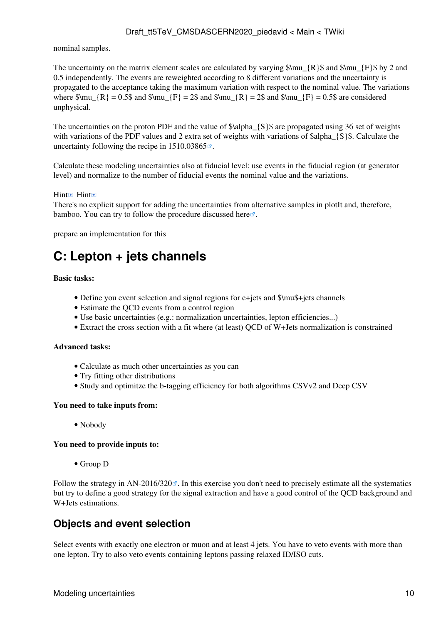nominal samples.

The uncertainty on the matrix element scales are calculated by varying  $\mu_{R}$  and  $\mu_{F}$  by 2 and 0.5 independently. The events are reweighted according to 8 different variations and the uncertainty is propagated to the acceptance taking the maximum variation with respect to the nominal value. The variations where  $\mu_{R} = 0.5\$  and  $\mu_{F} = 2\$  and  $\mu_{R} = 2\$  and  $\mu_{F} = 0.5\$  are considered unphysical.

The uncertainties on the proton PDF and the value of  $\alpha_{S}\$  are propagated using 36 set of weights with variations of the PDF values and 2 extra set of weights with variations of \$alpha {S}\$. Calculate the uncertainty following the recipe in  $1510.03865$ .

Calculate these modeling uncertainties also at fiducial level: use events in the fiducial region (at generator level) and normalize to the number of fiducial events the nominal value and the variations.

#### Hint<sup>D</sup> Hint

There's no explicit support for adding the uncertainties from alternative samples in plotIt and, therefore, bamboo. You can try to follow the procedure discussed [here](https://gitlab.cern.ch/cp3-cms/bamboo/-/issues/67)  $\mathbb{F}$ .

prepare an implementation for this

## <span id="page-10-0"></span>**C: Lepton + jets channels**

#### **Basic tasks:**

- Define you event selection and signal regions for e+jets and  $\mu$ stigs channels
- Estimate the QCD events from a control region
- Use basic uncertainties (e.g.: normalization uncertainties, lepton efficiencies...)
- Extract the cross section with a fit where (at least) QCD of W+Jets normalization is constrained

#### **Advanced tasks:**

- Calculate as much other uncertainties as you can
- Try fitting other distributions
- Study and optimitze the b-tagging efficiency for both algorithms CSVv2 and Deep CSV

#### **You need to take inputs from:**

• Nobody

#### **You need to provide inputs to:**

• Group D

Follow the strategy in [AN-2016/320](http://cms.cern.ch/iCMS/jsp/db_notes/noteInfo.jsp?cmsnoteid=CMS%20AN-2016/320) $\degree$ . In this exercise you don't need to precisely estimate all the systematics but try to define a good strategy for the signal extraction and have a good control of the QCD background and W+Jets estimations.

### <span id="page-10-1"></span>**Objects and event selection**

Select events with exactly one electron or muon and at least 4 jets. You have to veto events with more than one lepton. Try to also veto events containing leptons passing relaxed ID/ISO cuts.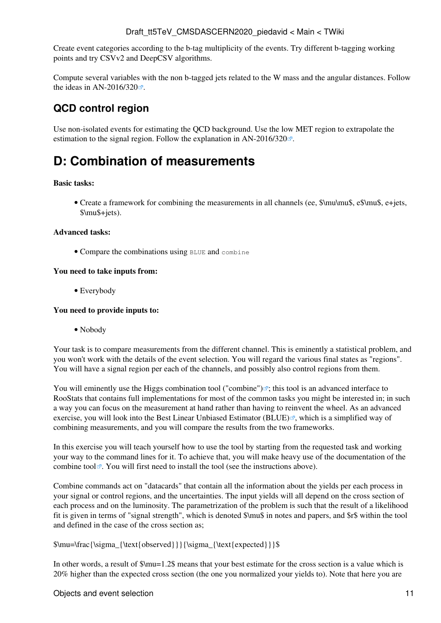Create event categories according to the b-tag multiplicity of the events. Try different b-tagging working points and try CSVv2 and [DeepCSV](https://twiki.cern.ch/twiki/bin/edit/Main/DeepCSV?topicparent=Main.Draft_tt5TeV_CMSDASCERN2020_piedavid;nowysiwyg=1) algorithms.

Compute several variables with the non b-tagged jets related to the W mass and the angular distances. Follow the ideas in [AN-2016/320](http://cms.cern.ch/iCMS/jsp/db_notes/noteInfo.jsp?cmsnoteid=CMS%20AN-2016/320) $\vec{r}$ .

### <span id="page-11-0"></span>**QCD control region**

Use non-isolated events for estimating the QCD background. Use the low MET region to extrapolate the estimation to the signal region. Follow the explanation in [AN-2016/320](http://cms.cern.ch/iCMS/jsp/db_notes/noteInfo.jsp?cmsnoteid=CMS%20AN-2016/320) $\textdegree$ .

## <span id="page-11-1"></span>**D: Combination of measurements**

#### **Basic tasks:**

• Create a framework for combining the measurements in all channels (ee,  $\mu\mu\$ , e $\mu\$ , e+jets, \$\mu\$+jets).

#### **Advanced tasks:**

• Compare the combinations using BLUE and combine

#### **You need to take inputs from:**

• Everybody

#### **You need to provide inputs to:**

• Nobody

Your task is to compare measurements from the different channel. This is eminently a statistical problem, and you won't work with the details of the event selection. You will regard the various final states as "regions". You will have a signal region per each of the channels, and possibly also control regions from them.

You will eminently use the [Higgs combination tool \("combine"\)](https://github.com/cms-analysis/HiggsAnalysis-CombinedLimit) $\mathbb{F}$ ; this tool is an advanced interface to [RooStats](https://twiki.cern.ch/twiki/bin/view/Main/RooStats) that contains full implementations for most of the common tasks you might be interested in; in such a way you can focus on the measurement at hand rather than having to reinvent the wheel. As an advanced exercise, you will look into the [Best Linear Unbiased Estimator \(BLUE\)](http://www.sciencedirect.com/science/article/pii/0168900288900186) $\mathbb{R}$ , which is a simplified way of combining measurements, and you will compare the results from the two frameworks.

In this exercise you will teach yourself how to use the tool by starting from the requested task and working your way to the command lines for it. To achieve that, you will make heavy use of the [documentation of the](https://github.com/cms-analysis/HiggsAnalysis-CombinedLimit/wiki) [combine tool](https://github.com/cms-analysis/HiggsAnalysis-CombinedLimit/wiki)  $\mathbb{R}$ . You will first need to install the tool (see the instructions above).

Combine commands act on "datacards" that contain all the information about the yields per each process in your signal or control regions, and the uncertainties. The input yields will all depend on the cross section of each process and on the luminosity. The parametrization of the problem is such that the result of a likelihood fit is given in terms of "signal strength", which is denoted \$\mu\$ in notes and papers, and \$r\$ within the tool and defined in the case of the cross section as;

```
$\mu=\frac{\sigma_{\text{observed}}}{\sigma_{\text{expected}}}$
```
In other words, a result of \$\mu=1.2\$ means that your best estimate for the cross section is a value which is 20% higher than the expected cross section (the one you normalized your yields to). Note that here you are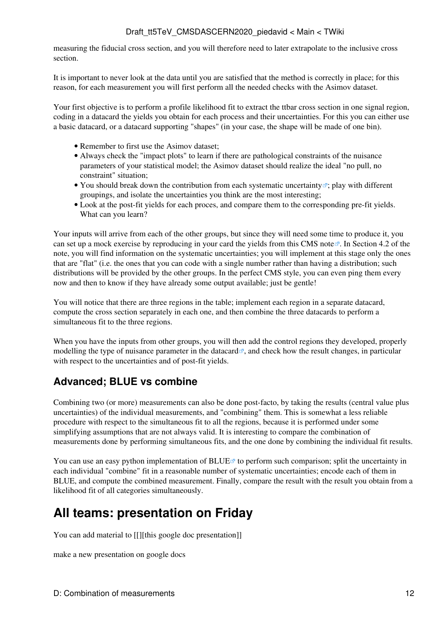measuring the fiducial cross section, and you will therefore need to later extrapolate to the inclusive cross section.

It is important to never look at the data until you are satisfied that the method is correctly in place; for this reason, for each measurement you will first perform all the needed checks with the Asimov dataset.

Your first objective is to perform a profile likelihood fit to extract the ttbar cross section in one signal region, coding in a datacard the yields you obtain for each process and their uncertainties. For this you can either use a basic datacard, or a datacard supporting "shapes" (in your case, the shape will be made of one bin).

- Remember to first use the Asimov dataset;
- Always check the "impact plots" to learn if there are pathological constraints of the nuisance parameters of your statistical model; the Asimov dataset should realize the ideal "no pull, no constraint" situation;
- You should [break down the contribution from each systematic uncertainty](https://indico.cern.ch/event/677948/contributions/2776352/attachments/1550599/2468832/HComb-Tutorial-FitDiagnostics.pdf)"; play with different groupings, and isolate the uncertainties you think are the most interesting;
- Look at the post-fit yields for each proces, and compare them to the corresponding pre-fit yields. What can you learn?

Your inputs will arrive from each of the other groups, but since they will need some time to produce it, you can set up a mock exercise by reproducing in your card the yields from [this CMS note](http://cms.cern.ch/iCMS/jsp/db_notes/noteInfo.jsp?cmsnoteid=CMS%20AN-2016/320) . In Section 4.2 of the note, you will find information on the systematic uncertainties; you will implement at this stage only the ones that are "flat" (i.e. the ones that you can code with a single number rather than having a distribution; such distributions will be provided by the other groups. In the perfect CMS style, you can even ping them every now and then to know if they have already some output available; just be gentle!

You will notice that there are three regions in the table; implement each region in a separate datacard, compute the cross section separately in each one, and then combine the three datacards to perform a simultaneous fit to the three regions.

When you have the inputs from other groups, you will then add the control regions they developed, [properly](https://indico.cern.ch/event/677948/contributions/2776347/attachments/1550596/2469716/Fitting_Control_Regions.pdf) [modelling the type of nuisance parameter in the datacard](https://indico.cern.ch/event/677948/contributions/2776347/attachments/1550596/2469716/Fitting_Control_Regions.pdf)  $\mathbb{F}$ , and check how the result changes, in particular with respect to the uncertainties and of post-fit yields.

### <span id="page-12-0"></span>**Advanced; BLUE vs combine**

Combining two (or more) measurements can also be done post-facto, by taking the results (central value plus uncertainties) of the individual measurements, and "combining" them. This is somewhat a less reliable procedure with respect to the simultaneous fit to all the regions, because it is performed under some simplifying assumptions that are not always valid. It is interesting to compare the combination of measurements done by performing simultaneous fits, and the one done by combining the individual fit results.

You can use an [easy python implementation of BLUE](http://agiamman.web.cern.ch/agiamman/blue/)  $\sigma$  to perform such comparison; split the uncertainty in each individual "combine" fit in a reasonable number of systematic uncertainties; encode each of them in BLUE, and compute the combined measurement. Finally, compare the result with the result you obtain from a likelihood fit of all categories simultaneously.

## <span id="page-12-1"></span>**All teams: presentation on Friday**

You can add material to [[][this google doc presentation]]

make a new presentation on google docs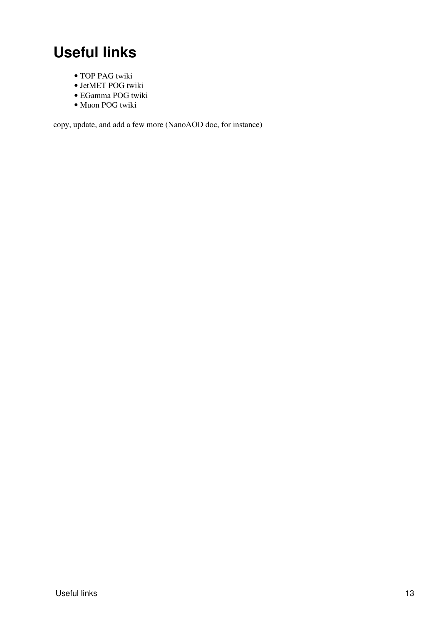# <span id="page-13-0"></span>**Useful links**

- TOP PAG [twiki](https://twiki.cern.ch/twiki/bin/view/CMS/TWikiTopQuark)
- [JetMET](https://twiki.cern.ch/twiki/bin/edit/Main/JetMET?topicparent=Main.Draft_tt5TeV_CMSDASCERN2020_piedavid;nowysiwyg=1) POG [twiki](https://twiki.cern.ch/twiki/bin/view/CMS/JetMET)
- EGamma POG [twiki](https://twiki.cern.ch/twiki/bin/view/CMS/EgammaPOG)
- Muon POG [twiki](https://twiki.cern.ch/twiki/bin/view/CMS/MuonPOG)

copy, update, and add a few more ([NanoAOD](https://twiki.cern.ch/twiki/bin/edit/Main/NanoAOD?topicparent=Main.Draft_tt5TeV_CMSDASCERN2020_piedavid;nowysiwyg=1) doc, for instance)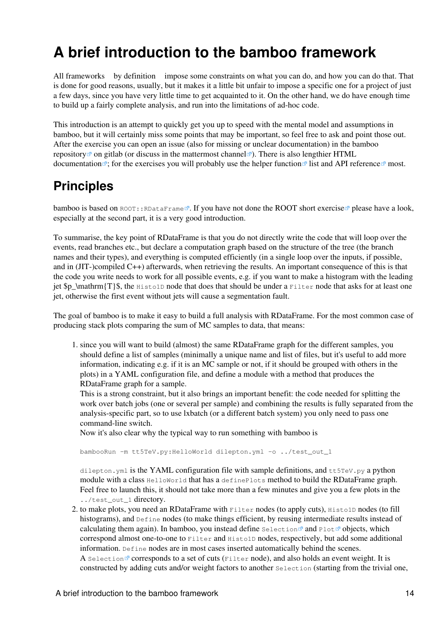# <span id="page-14-0"></span>**A brief introduction to the bamboo framework**

All frameworks by definition impose some constraints on what you can do, and how you can do that. That is done for good reasons, usually, but it makes it a little bit unfair to impose a specific one for a project of just a few days, since you have very little time to get acquainted to it. On the other hand, we do have enough time to build up a fairly complete analysis, and run into the limitations of ad-hoc code.

This introduction is an attempt to quickly get you up to speed with the mental model and assumptions in bamboo, but it will certainly miss some points that may be important, so feel free to ask and point those out. After the exercise you can open an issue (also for missing or unclear documentation) in the [bamboo](https://gitlab.cern.ch/cp3-cms/bamboo) [repository](https://gitlab.cern.ch/cp3-cms/bamboo)  $\mathbb{F}$  on gitlab (or discuss in the [mattermost channel](https://mattermost.web.cern.ch/cms-exp/channels/bamboo)  $\mathbb{F}$ ). There is also lengthier [HTML](https://cp3.irmp.ucl.ac.be/~pdavid/bamboo/index.html) [documentation](https://cp3.irmp.ucl.ac.be/~pdavid/bamboo/index.html)  $\mathbb{F}$ ; for the exercises you will probably use the [helper function](https://cp3.irmp.ucl.ac.be/~pdavid/bamboo/treefunctions.html)  $\mathbb{F}$  list and [API reference](https://cp3.irmp.ucl.ac.be/~pdavid/bamboo/apiref.html)  $\mathbb{F}$  most.

## <span id="page-14-1"></span>**Principles**

bamboo is based on  $ROOT: :RDataFrame \times$ . If you have not done the [ROOT short exercise](https://cmsdas.github.io/root-short-exercise/) please have a look, especially at the second part, it is a very good introduction.

To summarise, the key point of RDataFrame is that you do not directly write the code that will loop over the events, read branches etc., but declare a computation graph based on the structure of the tree (the branch names and their types), and everything is computed efficiently (in a single loop over the inputs, if possible, and in (JIT-)compiled C++) afterwards, when retrieving the results. An important consequence of this is that the code you write needs to work for all possible events, e.g. if you want to make a histogram with the leading jet  $p_\mathrm{T}\$ , the Histo1D node that does that should be under a Filter node that asks for at least one jet, otherwise the first event without jets will cause a segmentation fault.

The goal of bamboo is to make it easy to build a full analysis with RDataFrame. For the most common case of producing stack plots comparing the sum of MC samples to data, that means:

1. since you will want to build (almost) the same RDataFrame graph for the different samples, you should define a list of samples (minimally a unique name and list of files, but it's useful to add more information, indicating e.g. if it is an MC sample or not, if it should be grouped with others in the plots) in a YAML configuration file, and define a module with a method that produces the RDataFrame graph for a sample.

This is a strong constraint, but it also brings an important benefit: the code needed for splitting the work over batch jobs (one or several per sample) and combining the results is fully separated from the analysis-specific part, so to use lxbatch (or a different batch system) you only need to pass one command-line switch.

Now it's also clear why the typical way to run something with bamboo is

bambooRun -m tt5TeV.py:HelloWorld dilepton.yml -o ../test\_out\_1

dilepton. yml is the YAML configuration file with sample definitions, and  $t_{t5T}$ eV.py a python module with a class HelloWorld that has a definePlots method to build the RDataFrame graph. Feel free to launch this, it should not take more than a few minutes and give you a few plots in the ../test\_out\_1 directory.

2. to make plots, you need an RDataFrame with  $_{\rm Filter}$  nodes (to apply cuts), <code>Histo1D</code> nodes (to fill histograms), and Define nodes (to make things efficient, by reusing intermediate results instead of calculating them again). In bamboo, you instead define selection  $\mathbb{F}$  and [Plot](https://cp3.irmp.ucl.ac.be/~pdavid/bamboo/apiref.html#bamboo.plots.Plot)  $\mathbb{F}$  objects, which correspond almost one-to-one to Filter and Histo1D nodes, respectively, but add some additional information. Define nodes are in most cases inserted automatically behind the scenes. A selection  $\mathbb Z$  corresponds to a set of cuts (Filter node), and also holds an event weight. It is constructed by adding cuts and/or weight factors to another Selection (starting from the trivial one,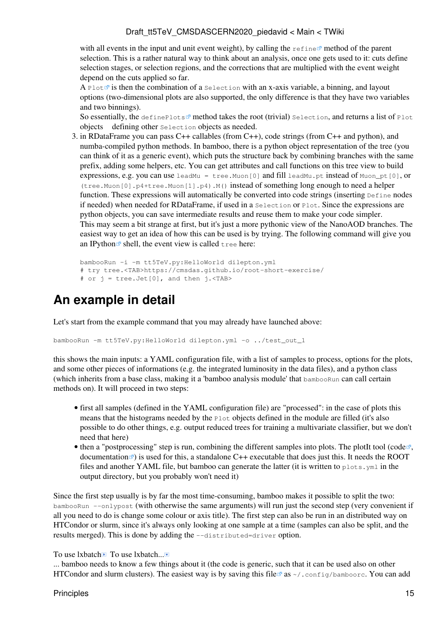with all events in the input and unit event weight), by calling the [refine](https://cp3.irmp.ucl.ac.be/~pdavid/bamboo/apiref.html#bamboo.plots.Selection.refine)  $\mathbb{F}$  method of the parent selection. This is a rather natural way to think about an analysis, once one gets used to it: cuts define selection stages, or selection regions, and the corrections that are multiplied with the event weight depend on the cuts applied so far.

A [Plot](https://cp3.irmp.ucl.ac.be/~pdavid/bamboo/apiref.html#bamboo.plots.Plot)<sup> $\Phi$ </sup> is then the combination of a Selection with an x-axis variable, a binning, and layout options (two-dimensional plots are also supported, the only difference is that they have two variables and two binnings).

So essentially, the [definePlots](https://cp3.irmp.ucl.ac.be/~pdavid/bamboo/apiref.html#bamboo.analysismodules.HistogramsModule.definePlots)  $\mathbb{F}$  method takes the root (trivial) Selection, and returns a list of Plot objects defining other Selection objects as needed.

3. in RDataFrame you can pass C++ callables (from C++), code strings (from C++ and python), and numba-compiled python methods. In bamboo, there is a python object representation of the tree (you can think of it as a generic event), which puts the structure back by combining branches with the same prefix, adding some helpers, etc. You can get attributes and call functions on this tree view to build expressions, e.g. you can use leadMu = tree. Muon  $[0]$  and fill leadMu.pt instead of Muon pt  $[0]$ , or (tree.Muon[0].p4+tree.Muon[1].p4).M() instead of something long enough to need a helper function. These expressions will automatically be converted into code strings (inserting Define nodes if needed) when needed for RDataFrame, if used in a Selection or Plot. Since the expressions are python objects, you can save intermediate results and reuse them to make your code simpler. This may seem a bit strange at first, but it's just a more pythonic view of the NanoAOD branches. The easiest way to get an idea of how this can be used is by trying. The following command will give you an [IPython](http://ipython.org)<sup> $\alpha$ </sup> shell, the event view is called tree here:

```
bambooRun -i -m tt5TeV.py:HelloWorld dilepton.yml
# try tree.<TAB>https://cmsdas.github.io/root-short-exercise/
# or j = tree.Jet[0], and then j. <TAB>
```
## <span id="page-15-0"></span>**An example in detail**

Let's start from the example command that you may already have launched above:

bambooRun -m tt5TeV.py:HelloWorld dilepton.yml -o ../test\_out\_1

this shows the main inputs: a YAML configuration file, with a list of samples to process, options for the plots, and some other pieces of informations (e.g. the integrated luminosity in the data files), and a python class (which inherits from a base class, making it a 'bamboo analysis module' that bambooRun can call certain methods on). It will proceed in two steps:

- first all samples (defined in the YAML configuration file) are "processed": in the case of plots this means that the histograms needed by the Plot objects defined in the module are filled (it's also possible to do other things, e.g. output reduced trees for training a multivariate classifier, but we don't need that here)
- then a "postprocessing" step is run, combining the different samples into plots. The plotIt tool ([code](https://github.com/cp3-llbb/plotIt)  $\mathbb{Z}$ , [documentation](http://cp3-llbb.github.io/plotit/)  $\mathbb{Z}$  is used for this, a standalone C++ executable that does just this. It needs the [ROOT](https://twiki.cern.ch/twiki/bin/view/Main/ROOT) files and another YAML file, but bamboo can generate the latter (it is written to  $p$ lots.yml in the output directory, but you probably won't need it)

Since the first step usually is by far the most time-consuming, bamboo makes it possible to split the two: bambooRun --onlypost (with otherwise the same arguments) will run just the second step (very convenient if all you need to do is change some colour or axis title). The first step can also be run in an distributed way on HTCondor or slurm, since it's always only looking at one sample at a time (samples can also be split, and the results merged). This is done by adding the --distributed=driver option.

To use lxbatch  $\Box$  To use lxbatch... $\Box$ 

... bamboo needs to know a few things about it (the code is generic, such that it can be used also on other HTCondor and slurm clusters). The easiest way is by saving [this file](https://gitlab.cern.ch/cp3-cms/bamboo/-/blob/master/examples/cern.ini)  $\mathbb{F}$  as  $\sim$ /.config/bamboorc. You can add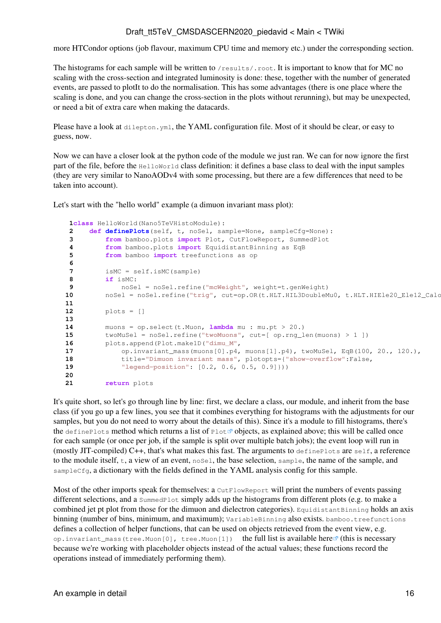more HTCondor options (job flavour, maximum CPU time and memory etc.) under the corresponding section.

The histograms for each sample will be written to /results/.root. It is important to know that for MC no scaling with the cross-section and integrated luminosity is done: these, together with the number of generated events, are passed to plotIt to do the normalisation. This has some advantages (there is one place where the scaling is done, and you can change the cross-section in the plots without rerunning), but may be unexpected, or need a bit of extra care when making the datacards.

Please have a look at dilepton.yml, the YAML configuration file. Most of it should be clear, or easy to guess, now.

Now we can have a closer look at the python code of the module we just ran. We can for now ignore the first part of the file, before the HelloWorld class definition: it defines a base class to deal with the input samples (they are very similar to NanoAODv4 with some processing, but there are a few differences that need to be taken into account).

Let's start with the "hello world" example (a dimuon invariant mass plot):

```
 1class HelloWorld(Nano5TeVHistoModule):
  2 def definePlots(self, t, noSel, sample=None, sampleCfg=None):
  3 from bamboo.plots import Plot, CutFlowReport, SummedPlot
  4 from bamboo.plots import EquidistantBinning as EqB
  5 from bamboo import treefunctions as op
  6
  7 isMC = self.isMC(sample)
  8 if isMC:
             9 noSel = noSel.refine("mcWeight", weight=t.genWeight)
10 noSel = noSel.refine("trig", cut=op.OR(t.HLT.HIL3DoubleMu0, t.HLT.HIEle20_Ele12_Calc
 11
 12 plots = []
 13
 14 muons = op.select(t.Muon, lambda mu : mu.pt > 20.)
 15 twoMuSel = noSel.refine("twoMuons", cut=[ op.rng_len(muons) > 1 ])
 16 plots.append(Plot.make1D("dimu_M",
 17 op.invariant_mass(muons[0].p4, muons[1].p4), twoMuSel, EqB(100, 20., 120.),
 18 title="Dimuon invariant mass", plotopts={"show-overflow":False,
 19 "legend-position": [0.2, 0.6, 0.5, 0.9]}))
 20
 21 return plots
```
It's quite short, so let's go through line by line: first, we declare a class, our module, and inherit from the base class (if you go up a few lines, you see that it combines everything for histograms with the adjustments for our samples, but you do not need to worry about the details of this). Since it's a module to fill histograms, there's the define[Plot](https://cp3.irmp.ucl.ac.be/~pdavid/bamboo/apiref.html#bamboo.plots.Plot)s method which returns a list of Plot<sup> $\mathcal{B}$ </sup> objects, as explained above; this will be called once for each sample (or once per job, if the sample is split over multiple batch jobs); the event loop will run in (mostly JIT-compiled)  $C_{++}$ , that's what makes this fast. The arguments to define Plots are self, a reference to the module itself,  $t$ , a view of an event,  $n \circ s \in \mathbb{R}$ , the base selection, sample, the name of the sample, and sampleCfg, a dictionary with the fields defined in the YAML analysis config for this sample.

Most of the other imports speak for themselves: a CutFlowReport will print the numbers of events passing different selections, and a SummedPlot simply adds up the histograms from different plots (e.g. to make a combined jet pt plot from those for the dimuon and dielectron categories). EquidistantBinning holds an axis binning (number of bins, minimum, and maximum); VariableBinning also exists. bamboo.treefunctions defines a collection of helper functions, that can be used on objects retrieved from the event view, e.g. op.invariant\_mass(tree.Muon[0], tree.Muon[1]) the full list is available [here](https://cp3.irmp.ucl.ac.be/~pdavid/bamboo/treefunctions.html)<sup> $\sigma$ </sup> (this is necessary because we're working with placeholder objects instead of the actual values; these functions record the operations instead of immediately performing them).